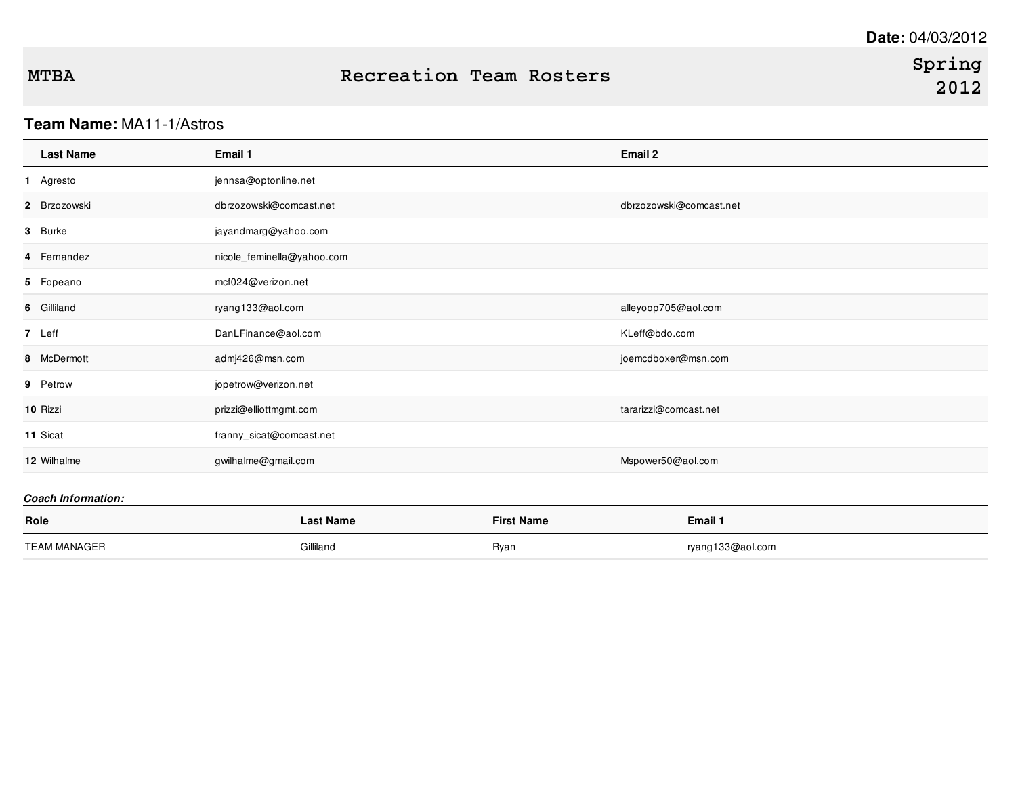# **MTBA Recreation Team Rosters**

### **Team Name:** MA11-1/Astros

| <b>Last Name</b> | Email 1                    | Email 2                 |
|------------------|----------------------------|-------------------------|
| 1 Agresto        | jennsa@optonline.net       |                         |
| 2 Brzozowski     | dbrzozowski@comcast.net    | dbrzozowski@comcast.net |
| 3 Burke          | jayandmarg@yahoo.com       |                         |
| 4 Femandez       | nicole_feminella@yahoo.com |                         |
| 5 Fopeano        | mcf024@verizon.net         |                         |
| 6 Gilliland      | ryang133@aol.com           | alleyoop705@aol.com     |
| 7 Leff           | DanLFinance@aol.com        | KLeff@bdo.com           |
| 8 McDermott      | admj426@msn.com            | joemcdboxer@msn.com     |
| 9 Petrow         | jopetrow@verizon.net       |                         |
| 10 Rizzi         | prizzi@elliottmgmt.com     | tararizzi@comcast.net   |
| 11 Sicat         | franny_sicat@comcast.net   |                         |
| 12 Wilhalme      | gwilhalme@gmail.com        | Mspower50@aol.com       |
|                  |                            |                         |

#### *Coach Information:*

| Role                | Last Name | <b>First Name</b> | Email 1          |
|---------------------|-----------|-------------------|------------------|
| <b>TEAM MANAGER</b> | Gilliland | Ryan              | ryang133@aol.com |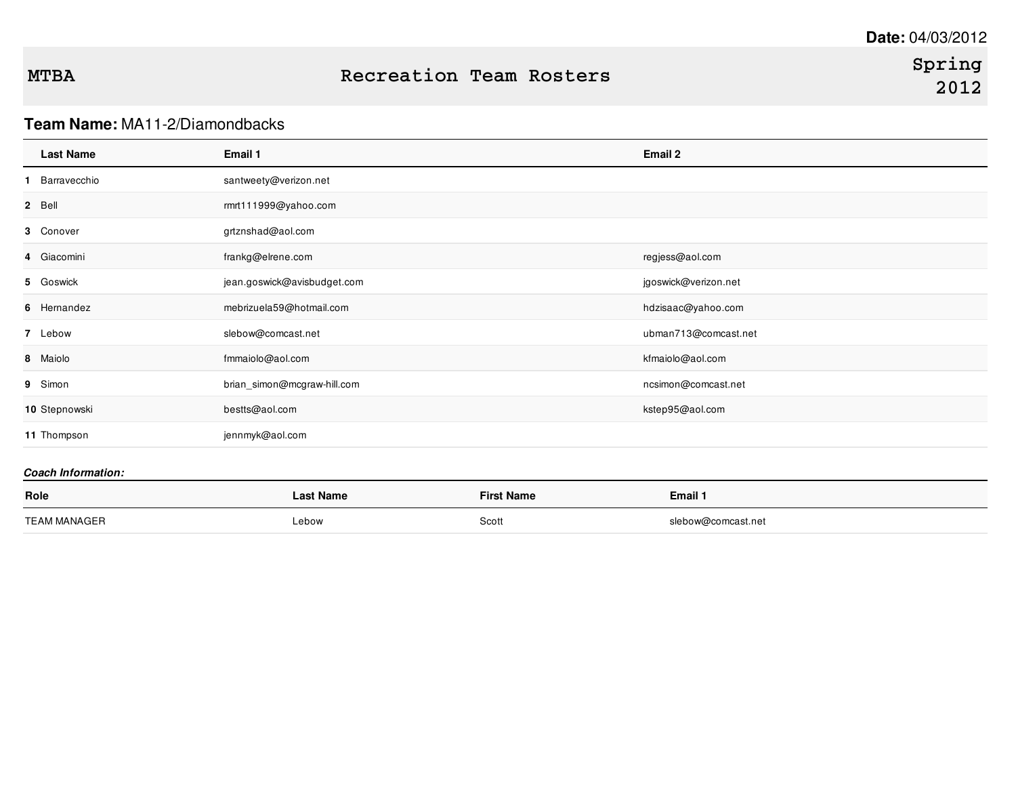# **Team Name:** MA11-2/Diamondbacks

| <b>Last Name</b> | Email 1                     | Email 2              |
|------------------|-----------------------------|----------------------|
| Barravecchio     | santweety@verizon.net       |                      |
| 2 Bell           | rmrt111999@yahoo.com        |                      |
| 3 Conover        | grtznshad@aol.com           |                      |
| 4 Giacomini      | frankg@elrene.com           | regjess@aol.com      |
| 5 Goswick        | jean.goswick@avisbudget.com | jgoswick@verizon.net |
| 6 Hernandez      | mebrizuela59@hotmail.com    | hdzisaac@yahoo.com   |
| 7 Lebow          | slebow@comcast.net          | ubman713@comcast.net |
| 8 Maiolo         | fmmaiolo@aol.com            | kfmaiolo@aol.com     |
| 9 Simon          | brian_simon@mcgraw-hill.com | ncsimon@comcast.net  |
| 10 Stepnowski    | bestts@aol.com              | kstep95@aol.com      |
| 11 Thompson      | jennmyk@aol.com             |                      |

#### *Coach Information:*

| Role                | Last Name | <b>First Name</b> | Email 1            |
|---------------------|-----------|-------------------|--------------------|
| <b>TEAM MANAGER</b> | Lebow     | Scott             | slebow@comcast.net |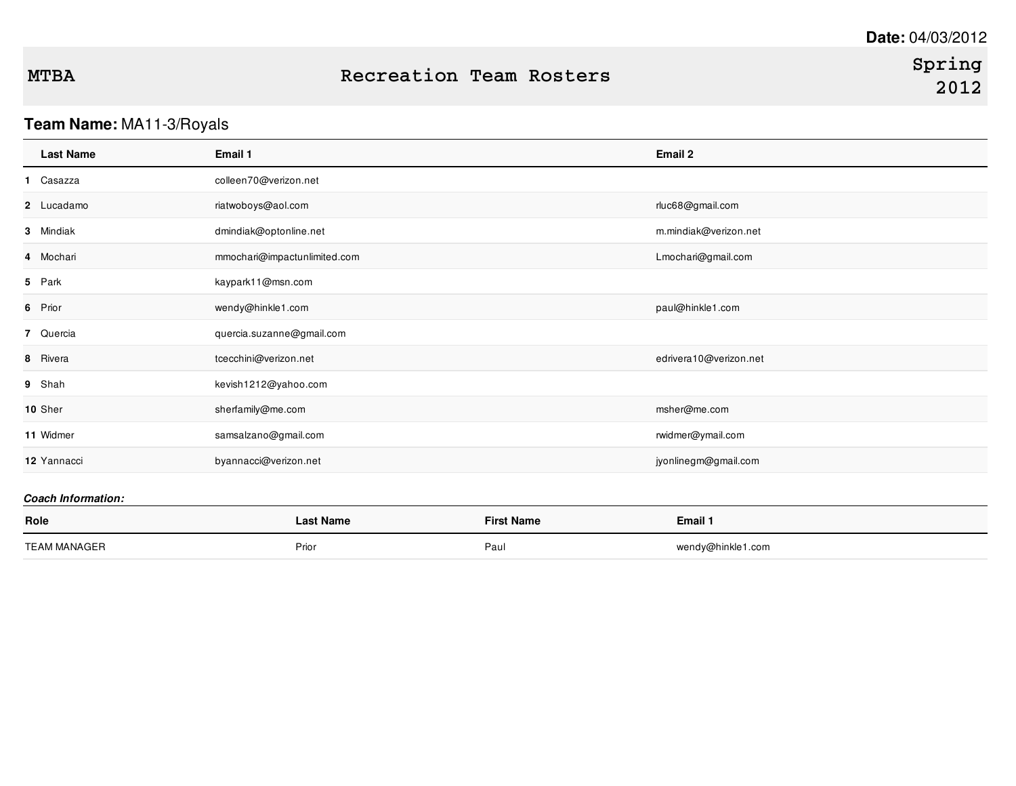# **Team Name:** MA11-3/Royals

| <b>Last Name</b> | Email 1                      | Email 2                |
|------------------|------------------------------|------------------------|
| 1 Casazza        | colleen70@verizon.net        |                        |
| 2 Lucadamo       | riatwoboys@aol.com           | rluc68@gmail.com       |
| 3 Mindiak        | dmindiak@optonline.net       | m.mindiak@verizon.net  |
| 4 Mochari        | mmochari@impactunlimited.com | Lmochari@gmail.com     |
| 5 Park           | kaypark11@msn.com            |                        |
| 6 Prior          | wendy@hinkle1.com            | paul@hinkle1.com       |
| 7 Quercia        | quercia.suzanne@gmail.com    |                        |
| 8 Rivera         | tcecchini@verizon.net        | edrivera10@verizon.net |
| 9 Shah           | kevish1212@yahoo.com         |                        |
| 10 Sher          | sherfamily@me.com            | msher@me.com           |
| 11 Widmer        | samsalzano@gmail.com         | rwidmer@ymail.com      |
| 12 Yannacci      | byannacci@verizon.net        | jyonlinegm@gmail.com   |
|                  |                              |                        |

#### *Coach Information:*

| Role         | ast Name | <b>First Name</b> | Email 1           |
|--------------|----------|-------------------|-------------------|
|              |          |                   |                   |
|              | Prior    | Paur              | wendy@hinkle1.com |
| TEAM MANAGER |          |                   |                   |